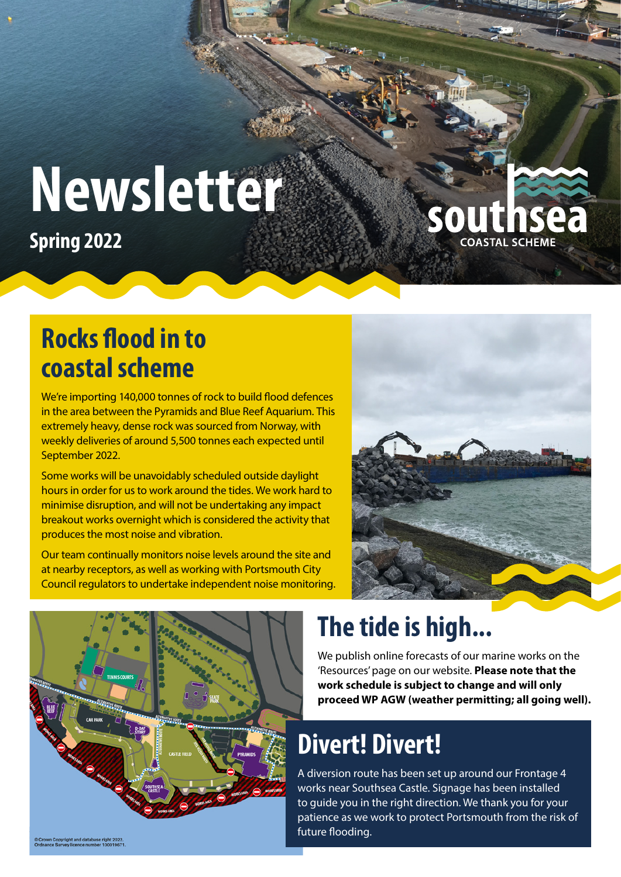# **Newsletter**

**Spring 2022**

#### **Rocks flood in to coastal scheme**

We're importing 140,000 tonnes of rock to build flood defences in the area between the Pyramids and Blue Reef Aquarium. This extremely heavy, dense rock was sourced from Norway, with weekly deliveries of around 5,500 tonnes each expected until September 2022.

Some works will be unavoidably scheduled outside daylight hours in order for us to work around the tides. We work hard to minimise disruption, and will not be undertaking any impact breakout works overnight which is considered the activity that produces the most noise and vibration.

Our team continually monitors noise levels around the site and at nearby receptors, as well as working with Portsmouth City Council regulators to undertake independent noise monitoring.



outhsea



# **The tide is high...**

We publish online forecasts of our marine works on the 'Resources' page on our website. **Please note that the work schedule is subject to change and will only proceed WP AGW (weather permitting; all going well).**

# **Divert! Divert!**

A diversion route has been set up around our Frontage 4 works near Southsea Castle. Signage has been installed to guide you in the right direction. We thank you for your patience as we work to protect Portsmouth from the risk of future flooding.